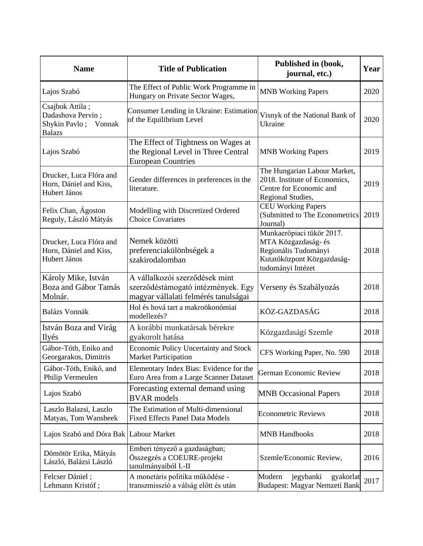| <b>Name</b>                                                                   | <b>Title of Publication</b>                                                                                  | Published in (book,<br>journal, etc.)                                                                                       | Year |
|-------------------------------------------------------------------------------|--------------------------------------------------------------------------------------------------------------|-----------------------------------------------------------------------------------------------------------------------------|------|
| Lajos Szabó                                                                   | The Effect of Public Work Programme in<br>Hungary on Private Sector Wages,                                   | <b>MNB Working Papers</b>                                                                                                   | 2020 |
| Csajbok Attila;<br>Dadashova Pervin;<br>Shykin Pavlo; Vonnak<br><b>Balazs</b> | Consumer Lending in Ukraine: Estimation<br>of the Equilibrium Level                                          | Visnyk of the National Bank of<br>Ukraine                                                                                   | 2020 |
| Lajos Szabó                                                                   | The Effect of Tightness on Wages at<br>the Regional Level in Three Central<br><b>European Countries</b>      | <b>MNB Working Papers</b>                                                                                                   | 2019 |
| Drucker, Luca Flóra and<br>Horn, Dániel and Kiss,<br>Hubert János             | Gender differences in preferences in the<br>literature.                                                      | The Hungarian Labour Market,<br>2018. Institute of Economics,<br>Centre for Economic and<br>Regional Studies,               | 2019 |
| Felix Chan, Ágoston<br>Reguly, László Mátyás                                  | Modelling with Discretized Ordered<br><b>Choice Covariates</b>                                               | <b>CEU Working Papers</b><br>(Submitted to The Econometrics<br>Journal)                                                     | 2019 |
| Drucker, Luca Flóra and<br>Horn, Dániel and Kiss,<br>Hubert János             | Nemek közötti<br>preferenciakülönbségek a<br>szakirodalomban                                                 | Munkaerőpiaci tükör 2017.<br>MTA Közgazdaság- és<br>Regionális Tudományi<br>Kutatóközpont Közgazdaság-<br>tudományi Intézet | 2018 |
| Károly Mike, István<br>Boza and Gábor Tamás<br>Molnár.                        | A vállalkozói szerződések mint<br>szerződéstámogató intézmények. Egy<br>magyar vállalati felmérés tanulságai | Verseny és Szabályozás                                                                                                      | 2018 |
| Balázs Vonnák                                                                 | Hol és hová tart a makroökonómiai<br>modellezés?                                                             | KÖZ-GAZDASÁG                                                                                                                | 2018 |
| István Boza and Virág<br>Ilyés                                                | A korábbi munkatársak bérekre<br>gyakorolt hatása                                                            | Közgazdasági Szemle                                                                                                         | 2018 |
| Gábor-Tóth, Eniko and<br>Georgarakos, Dimitris                                | <b>Economic Policy Uncertainty and Stock</b><br><b>Market Participation</b>                                  | CFS Working Paper, No. 590                                                                                                  | 2018 |
| Gábor-Tóth, Enikő, and<br>Philip Vermeulen                                    | Elementary Index Bias: Evidence for the<br>Euro Area from a Large Scanner Dataset                            | <b>German Economic Review</b>                                                                                               | 2018 |
| Lajos Szabó                                                                   | Forecasting external demand using<br><b>BVAR</b> models                                                      | <b>MNB</b> Occasional Papers                                                                                                | 2018 |
| Laszlo Balazsi, Laszlo<br>Matyas, Tom Wansbeek                                | The Estimation of Multi-dimensional<br><b>Fixed Effects Panel Data Models</b>                                | <b>Econometric Reviews</b>                                                                                                  | 2018 |
| Lajos Szabó and Dóra Bak Labour Market                                        |                                                                                                              | <b>MNB Handbooks</b>                                                                                                        | 2018 |
| Dömötör Erika, Mátyás<br>László, Balázsi László                               | Emberi tényező a gazdaságban;<br>Összegzés a COEURE-projekt<br>tanulmányaiból I.-II                          | Szemle/Economic Review,                                                                                                     | 2016 |
| Felcser Dániel;<br>Lehmann Kristóf;                                           | A monetáris politika működése -<br>transzmisszió a válság előtt és után                                      | Modern<br>jegybanki<br>gyakorlat<br>Budapest: Magyar Nemzeti Bank                                                           | 2017 |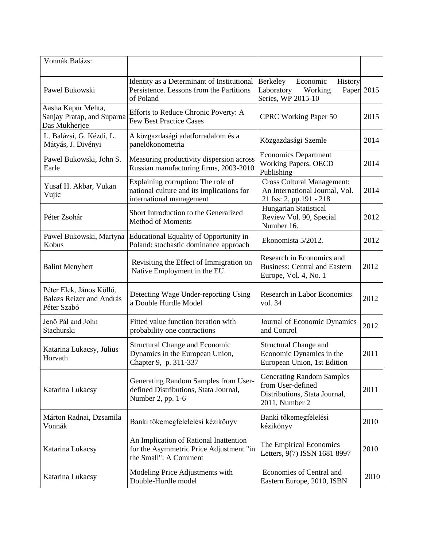| Vonnák Balázs:                                                             |                                                                                                             |                                                                                                          |      |
|----------------------------------------------------------------------------|-------------------------------------------------------------------------------------------------------------|----------------------------------------------------------------------------------------------------------|------|
| Pawel Bukowski                                                             | Identity as a Determinant of Institutional<br>Persistence. Lessons from the Partitions<br>of Poland         | Berkeley<br>Economic<br>History<br>Laboratory<br>Working<br>Paper<br>Series, WP 2015-10                  | 2015 |
| Aasha Kapur Mehta,<br>Sanjay Pratap, and Suparna<br>Das Mukherjee          | Efforts to Reduce Chronic Poverty: A<br><b>Few Best Practice Cases</b>                                      | <b>CPRC Working Paper 50</b>                                                                             | 2015 |
| L. Balázsi, G. Kézdi, L.<br>Mátyás, J. Divényi                             | A közgazdasági adatforradalom és a<br>panelökonometria                                                      | Közgazdasági Szemle                                                                                      | 2014 |
| Pawel Bukowski, John S.<br>Earle                                           | Measuring productivity dispersion across<br>Russian manufacturing firms, 2003-2010                          | <b>Economics Department</b><br><b>Working Papers, OECD</b><br>Publishing                                 | 2014 |
| Yusaf H. Akbar, Vukan<br>Vujic                                             | Explaining corruption: The role of<br>national culture and its implications for<br>international management | <b>Cross Cultural Management:</b><br>An International Journal, Vol.<br>21 Iss: 2, pp.191 - 218           | 2014 |
| Péter Zsohár                                                               | Short Introduction to the Generalized<br><b>Method of Moments</b>                                           | Hungarian Statistical<br>Review Vol. 90, Special<br>Number 16.                                           | 2012 |
| Paweł Bukowski, Martyna<br>Kobus                                           | Educational Equality of Opportunity in<br>Poland: stochastic dominance approach                             | Ekonomista 5/2012.                                                                                       | 2012 |
| <b>Balint Menyhert</b>                                                     | Revisiting the Effect of Immigration on<br>Native Employment in the EU                                      | Research in Economics and<br><b>Business: Central and Eastern</b><br>Europe, Vol. 4, No. 1               | 2012 |
| Péter Elek, János Köllő,<br><b>Balazs Reizer and András</b><br>Péter Szabó | Detecting Wage Under-reporting Using<br>a Double Hurdle Model                                               | <b>Research in Labor Economics</b><br>vol. 34                                                            | 2012 |
| Jenő Pál and John<br>Stachurski                                            | Fitted value function iteration with<br>probability one contractions                                        | Journal of Economic Dynamics<br>and Control                                                              | 2012 |
| Katarina Lukacsy, Julius<br>Horvath                                        | <b>Structural Change and Economic</b><br>Dynamics in the European Union,<br>Chapter 9, p. 311-337           | Structural Change and<br>Economic Dynamics in the<br>European Union, 1st Edition                         | 2011 |
| Katarina Lukacsy                                                           | Generating Random Samples from User-<br>defined Distributions, Stata Journal,<br>Number 2, pp. 1-6          | <b>Generating Random Samples</b><br>from User-defined<br>Distributions, Stata Journal,<br>2011, Number 2 | 2011 |
| Márton Radnai, Dzsamila<br>Vonnák                                          | Banki tőkemegfelelelési kézikönyv                                                                           | Banki tőkemegfelelési<br>kézikönyv                                                                       | 2010 |
| Katarina Lukacsy                                                           | An Implication of Rational Inattention<br>for the Asymmetric Price Adjustment "in<br>the Small": A Comment  | The Empirical Economics<br>Letters, 9(7) ISSN 1681 8997                                                  | 2010 |
| Katarina Lukacsy                                                           | Modeling Price Adjustments with<br>Double-Hurdle model                                                      | Economies of Central and<br>Eastern Europe, 2010, ISBN                                                   | 2010 |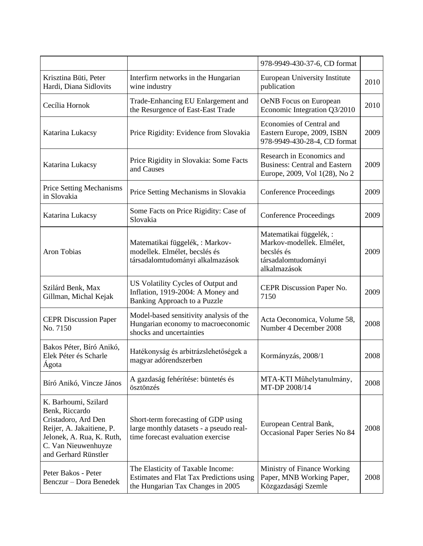|                                                                                                                                                                        |                                                                                                                     | 978-9949-430-37-6, CD format                                                                             |      |
|------------------------------------------------------------------------------------------------------------------------------------------------------------------------|---------------------------------------------------------------------------------------------------------------------|----------------------------------------------------------------------------------------------------------|------|
| Krisztina Büti, Peter<br>Hardi, Diana Sidlovits                                                                                                                        | Interfirm networks in the Hungarian<br>wine industry                                                                | <b>European University Institute</b><br>publication                                                      | 2010 |
| Cecília Hornok                                                                                                                                                         | Trade-Enhancing EU Enlargement and<br>the Resurgence of East-East Trade                                             | <b>OeNB</b> Focus on European<br>Economic Integration Q3/2010                                            | 2010 |
| Katarina Lukacsy                                                                                                                                                       | Price Rigidity: Evidence from Slovakia                                                                              | <b>Economies of Central and</b><br>Eastern Europe, 2009, ISBN<br>978-9949-430-28-4, CD format            | 2009 |
| Katarina Lukacsy                                                                                                                                                       | Price Rigidity in Slovakia: Some Facts<br>and Causes                                                                | Research in Economics and<br><b>Business: Central and Eastern</b><br>Europe, 2009, Vol 1(28), No 2       | 2009 |
| <b>Price Setting Mechanisms</b><br>in Slovakia                                                                                                                         | Price Setting Mechanisms in Slovakia                                                                                | <b>Conference Proceedings</b>                                                                            | 2009 |
| Katarina Lukacsy                                                                                                                                                       | Some Facts on Price Rigidity: Case of<br>Slovakia                                                                   | <b>Conference Proceedings</b>                                                                            | 2009 |
| Aron Tobias                                                                                                                                                            | Matematikai függelék, : Markov-<br>modellek. Elmélet, becslés és<br>társadalomtudományi alkalmazások                | Matematikai függelék,:<br>Markov-modellek. Elmélet,<br>becslés és<br>társadalomtudományi<br>alkalmazások | 2009 |
| Szilárd Benk, Max<br>Gillman, Michal Kejak                                                                                                                             | US Volatility Cycles of Output and<br>Inflation, 1919-2004: A Money and<br>Banking Approach to a Puzzle             | CEPR Discussion Paper No.<br>7150                                                                        | 2009 |
| <b>CEPR Discussion Paper</b><br>No. 7150                                                                                                                               | Model-based sensitivity analysis of the<br>Hungarian economy to macroeconomic<br>shocks and uncertainties           | Acta Oeconomica, Volume 58,<br>Number 4 December 2008                                                    | 2008 |
| Bakos Péter, Bíró Anikó,<br>Elek Péter és Scharle<br>Ágota                                                                                                             | Hatékonyság és arbitrázslehetőségek a<br>magyar adórendszerben                                                      | Kormányzás, 2008/1                                                                                       | 2008 |
| Bíró Anikó, Vincze János                                                                                                                                               | A gazdaság fehérítése: büntetés és<br>ösztönzés                                                                     | MTA-KTI Műhelytanulmány,<br>MT-DP 2008/14                                                                | 2008 |
| K. Barhoumi, Szilard<br>Benk, Riccardo<br>Cristadoro, Ard Den<br>Reijer, A. Jakaitiene, P.<br>Jelonek, A. Rua, K. Ruth,<br>C. Van Nieuwenhuyze<br>and Gerhard Rünstler | Short-term forecasting of GDP using<br>large monthly datasets - a pseudo real-<br>time forecast evaluation exercise | European Central Bank,<br>Occasional Paper Series No 84                                                  | 2008 |
| Peter Bakos - Peter<br>Benczur – Dora Benedek                                                                                                                          | The Elasticity of Taxable Income:<br>Estimates and Flat Tax Predictions using<br>the Hungarian Tax Changes in 2005  | Ministry of Finance Working<br>Paper, MNB Working Paper,<br>Közgazdasági Szemle                          | 2008 |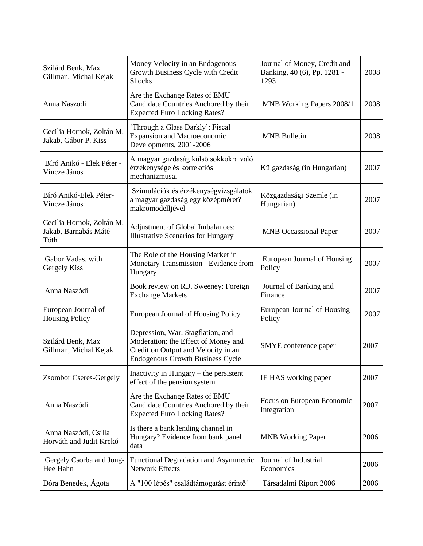| Szilárd Benk, Max<br>Gillman, Michal Kejak                | Money Velocity in an Endogenous<br>Growth Business Cycle with Credit<br><b>Shocks</b>                                                                      | Journal of Money, Credit and<br>Banking, 40 (6), Pp. 1281 -<br>1293 | 2008 |
|-----------------------------------------------------------|------------------------------------------------------------------------------------------------------------------------------------------------------------|---------------------------------------------------------------------|------|
| Anna Naszodi                                              | Are the Exchange Rates of EMU<br>Candidate Countries Anchored by their<br><b>Expected Euro Locking Rates?</b>                                              | MNB Working Papers 2008/1                                           | 2008 |
| Cecilia Hornok, Zoltán M.<br>Jakab, Gábor P. Kiss         | 'Through a Glass Darkly': Fiscal<br><b>Expansion and Macroeconomic</b><br>Developments, 2001-2006                                                          | <b>MNB</b> Bulletin                                                 | 2008 |
| Bíró Anikó - Elek Péter -<br>Vincze János                 | A magyar gazdaság külső sokkokra való<br>érzékenysége és korrekciós<br>mechanizmusai                                                                       | Külgazdaság (in Hungarian)                                          | 2007 |
| Bíró Anikó-Elek Péter-<br>Vincze János                    | Szimulációk és érzékenységvizsgálatok<br>a magyar gazdaság egy középméret?<br>makromodelljével                                                             | Közgazdasági Szemle (in<br>Hungarian)                               | 2007 |
| Cecilia Hornok, Zoltán M.<br>Jakab, Barnabás Máté<br>Tóth | Adjustment of Global Imbalances:<br><b>Illustrative Scenarios for Hungary</b>                                                                              | <b>MNB</b> Occassional Paper                                        | 2007 |
| Gabor Vadas, with<br>Gergely Kiss                         | The Role of the Housing Market in<br>Monetary Transmission - Evidence from<br>Hungary                                                                      | European Journal of Housing<br>Policy                               | 2007 |
| Anna Naszódi                                              | Book review on R.J. Sweeney: Foreign<br><b>Exchange Markets</b>                                                                                            | Journal of Banking and<br>Finance                                   | 2007 |
| European Journal of<br><b>Housing Policy</b>              | European Journal of Housing Policy                                                                                                                         | European Journal of Housing<br>Policy                               | 2007 |
| Szilárd Benk, Max<br>Gillman, Michal Kejak                | Depression, War, Stagflation, and<br>Moderation: the Effect of Money and<br>Credit on Output and Velocity in an<br><b>Endogenous Growth Business Cycle</b> | SMYE conference paper                                               | 2007 |
| <b>Zsombor Cseres-Gergely</b>                             | Inactivity in Hungary $-$ the persistent<br>effect of the pension system                                                                                   | IE HAS working paper                                                | 2007 |
| Anna Naszódi                                              | Are the Exchange Rates of EMU<br>Candidate Countries Anchored by their<br><b>Expected Euro Locking Rates?</b>                                              | Focus on European Economic<br>Integration                           | 2007 |
| Anna Naszódi, Csilla<br>Horváth and Judit Krekó           | Is there a bank lending channel in<br>Hungary? Evidence from bank panel<br>data                                                                            | <b>MNB</b> Working Paper                                            | 2006 |
| Gergely Csorba and Jong-<br>Hee Hahn                      | Functional Degradation and Asymmetric<br>Network Effects                                                                                                   | Journal of Industrial<br>Economics                                  | 2006 |
| Dóra Benedek, Ágota                                       | A "100 lépés" családtámogatást érintő'                                                                                                                     | Társadalmi Riport 2006                                              | 2006 |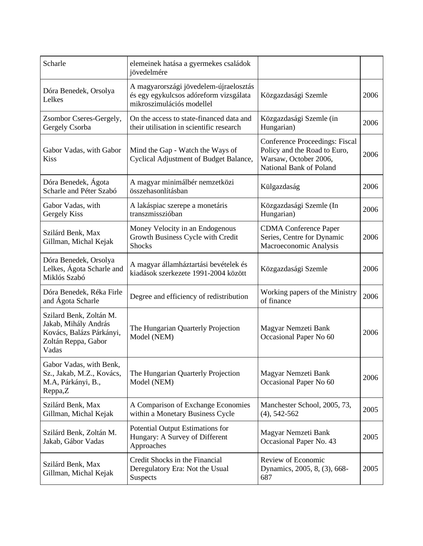| Scharle                                                                                                     | elemeinek hatása a gyermekes családok<br>jövedelmére                                                          |                                                                                                                    |      |
|-------------------------------------------------------------------------------------------------------------|---------------------------------------------------------------------------------------------------------------|--------------------------------------------------------------------------------------------------------------------|------|
| Dóra Benedek, Orsolya<br>Lelkes                                                                             | A magyarországi jövedelem-újraelosztás<br>és egy egykulcsos adóreform vizsgálata<br>mikroszimulációs modellel | Közgazdasági Szemle                                                                                                | 2006 |
| Zsombor Cseres-Gergely,<br>Gergely Csorba                                                                   | On the access to state-financed data and<br>their utilisation in scientific research                          | Közgazdasági Szemle (in<br>Hungarian)                                                                              | 2006 |
| Gabor Vadas, with Gabor<br>Kiss                                                                             | Mind the Gap - Watch the Ways of<br>Cyclical Adjustment of Budget Balance,                                    | Conference Proceedings: Fiscal<br>Policy and the Road to Euro,<br>Warsaw, October 2006,<br>National Bank of Poland | 2006 |
| Dóra Benedek, Ágota<br>Scharle and Péter Szabó                                                              | A magyar minimálbér nemzetközi<br>összehasonlításban                                                          | Külgazdaság                                                                                                        | 2006 |
| Gabor Vadas, with<br>Gergely Kiss                                                                           | A lakáspiac szerepe a monetáris<br>transzmisszióban                                                           | Közgazdasági Szemle (In<br>Hungarian)                                                                              | 2006 |
| Szilárd Benk, Max<br>Gillman, Michal Kejak                                                                  | Money Velocity in an Endogenous<br>Growth Business Cycle with Credit<br><b>Shocks</b>                         | <b>CDMA</b> Conference Paper<br>Series, Centre for Dynamic<br>Macroeconomic Analysis                               | 2006 |
| Dóra Benedek, Orsolya<br>Lelkes, Ágota Scharle and<br>Miklós Szabó                                          | A magyar államháztartási bevételek és<br>kiadások szerkezete 1991-2004 között                                 | Közgazdasági Szemle                                                                                                | 2006 |
| Dóra Benedek, Réka Firle<br>and Ágota Scharle                                                               | Degree and efficiency of redistribution                                                                       | Working papers of the Ministry<br>of finance                                                                       | 2006 |
| Szilard Benk, Zoltán M.<br>Jakab, Mihály András<br>Kovács, Balázs Párkányi,<br>Zoltán Reppa, Gabor<br>Vadas | The Hungarian Quarterly Projection<br>Model (NEM)                                                             | Magyar Nemzeti Bank<br>Occasional Paper No 60                                                                      | 2006 |
| Gabor Vadas, with Benk,<br>Sz., Jakab, M.Z., Kovács,<br>M.A, Párkányi, B.,<br>Reppa,Z                       | The Hungarian Quarterly Projection<br>Model (NEM)                                                             | Magyar Nemzeti Bank<br>Occasional Paper No 60                                                                      | 2006 |
| Szilárd Benk, Max<br>Gillman, Michal Kejak                                                                  | A Comparison of Exchange Economies<br>within a Monetary Business Cycle                                        | Manchester School, 2005, 73,<br>$(4)$ , 542-562                                                                    | 2005 |
| Szilárd Benk, Zoltán M.<br>Jakab, Gábor Vadas                                                               | Potential Output Estimations for<br>Hungary: A Survey of Different<br>Approaches                              | Magyar Nemzeti Bank<br>Occasional Paper No. 43                                                                     | 2005 |
| Szilárd Benk, Max<br>Gillman, Michal Kejak                                                                  | Credit Shocks in the Financial<br>Deregulatory Era: Not the Usual<br><b>Suspects</b>                          | Review of Economic<br>Dynamics, 2005, 8, (3), 668-<br>687                                                          | 2005 |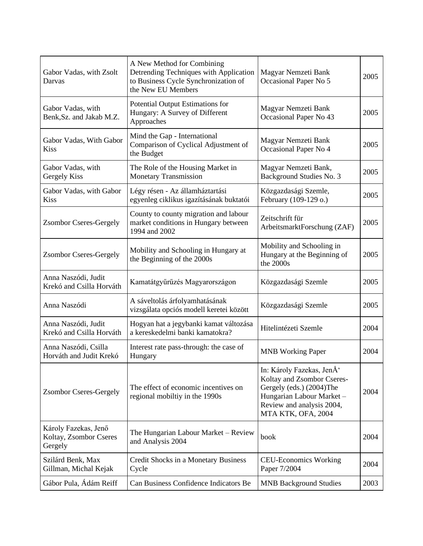| Gabor Vadas, with Zsolt<br>Darvas                         | A New Method for Combining<br>Detrending Techniques with Application<br>to Business Cycle Synchronization of<br>the New EU Members | Magyar Nemzeti Bank<br>Occasional Paper No 5                                                                                                                                   | 2005 |
|-----------------------------------------------------------|------------------------------------------------------------------------------------------------------------------------------------|--------------------------------------------------------------------------------------------------------------------------------------------------------------------------------|------|
| Gabor Vadas, with<br>Benk, Sz. and Jakab M.Z.             | Potential Output Estimations for<br>Hungary: A Survey of Different<br>Approaches                                                   | Magyar Nemzeti Bank<br>Occasional Paper No 43                                                                                                                                  | 2005 |
| Gabor Vadas, With Gabor<br><b>Kiss</b>                    | Mind the Gap - International<br>Comparison of Cyclical Adjustment of<br>the Budget                                                 | Magyar Nemzeti Bank<br>Occasional Paper No 4                                                                                                                                   | 2005 |
| Gabor Vadas, with<br>Gergely Kiss                         | The Role of the Housing Market in<br><b>Monetary Transmission</b>                                                                  | Magyar Nemzeti Bank,<br>Background Studies No. 3                                                                                                                               | 2005 |
| Gabor Vadas, with Gabor<br><b>Kiss</b>                    | Légy résen - Az államháztartási<br>egyenleg ciklikus igazításának buktatói                                                         | Közgazdasági Szemle,<br>February (109-129 o.)                                                                                                                                  | 2005 |
| <b>Zsombor Cseres-Gergely</b>                             | County to county migration and labour<br>market conditions in Hungary between<br>1994 and 2002                                     | Zeitschrift für<br>ArbeitsmarktForschung (ZAF)                                                                                                                                 | 2005 |
| <b>Zsombor Cseres-Gergely</b>                             | Mobility and Schooling in Hungary at<br>the Beginning of the 2000s                                                                 | Mobility and Schooling in<br>Hungary at the Beginning of<br>the 2000s                                                                                                          | 2005 |
| Anna Naszódi, Judit<br>Krekó and Csilla Horváth           | Kamatátgyűrűzés Magyarországon                                                                                                     | Közgazdasági Szemle                                                                                                                                                            | 2005 |
| Anna Naszódi                                              | A sáveltolás árfolyamhatásának<br>vizsgálata opciós modell keretei között                                                          | Közgazdasági Szemle                                                                                                                                                            | 2005 |
| Anna Naszódi, Judit<br>Krekó and Csilla Horváth           | Hogyan hat a jegybanki kamat változása<br>a kereskedelmi banki kamatokra?                                                          | Hitelintézeti Szemle                                                                                                                                                           | 2004 |
| Anna Naszódi, Csilla<br>Horváth and Judit Krekó           | Interest rate pass-through: the case of<br>Hungary                                                                                 | <b>MNB</b> Working Paper                                                                                                                                                       | 2004 |
| <b>Zsombor Cseres-Gergely</b>                             | The effect of economic incentives on<br>regional mobiltiy in the 1990s                                                             | In: Károly Fazekas, JenÅ <sup>*</sup><br>Koltay and Zsombor Cseres-<br>Gergely (eds.) (2004)The<br>Hungarian Labour Market-<br>Review and analysis 2004,<br>MTA KTK, OFA, 2004 | 2004 |
| Károly Fazekas, Jenő<br>Koltay, Zsombor Cseres<br>Gergely | The Hungarian Labour Market – Review<br>and Analysis 2004                                                                          | book                                                                                                                                                                           | 2004 |
| Szilárd Benk, Max<br>Gillman, Michal Kejak                | Credit Shocks in a Monetary Business<br>Cycle                                                                                      | <b>CEU-Economics Working</b><br>Paper 7/2004                                                                                                                                   | 2004 |
| Gábor Pula, Ádám Reiff                                    | Can Business Confidence Indicators Be                                                                                              | <b>MNB Background Studies</b>                                                                                                                                                  | 2003 |